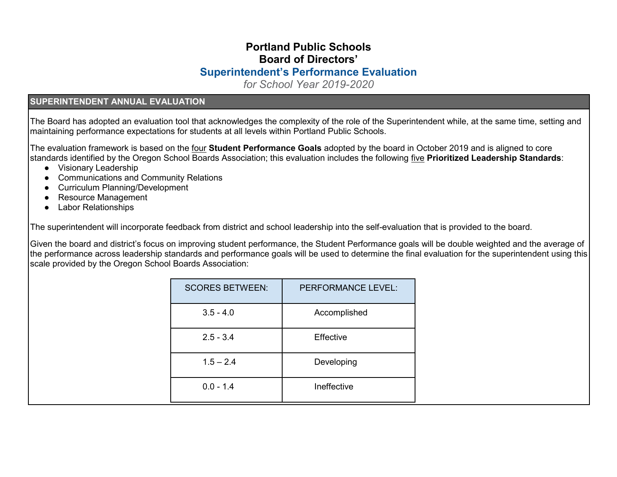# **Portland Public Schools Board of Directors' Superintendent's Performance Evaluation**

*for School Year 2019-2020*

#### **SUPERINTENDENT ANNUAL EVALUATION**

The Board has adopted an evaluation tool that acknowledges the complexity of the role of the Superintendent while, at the same time, setting and maintaining performance expectations for students at all levels within Portland Public Schools.

The evaluation framework is based on the four **Student Performance Goals** adopted by the board in October 2019 and is aligned to core standards identified by the Oregon School Boards Association; this evaluation includes the following five **Prioritized Leadership Standards**:

- Visionary Leadership
- Communications and Community Relations
- Curriculum Planning/Development
- Resource Management
- Labor Relationships

The superintendent will incorporate feedback from district and school leadership into the self-evaluation that is provided to the board.

Given the board and district's focus on improving student performance, the Student Performance goals will be double weighted and the average of the performance across leadership standards and performance goals will be used to determine the final evaluation for the superintendent using this scale provided by the Oregon School Boards Association:

| <b>SCORES BETWEEN:</b> | <b>PERFORMANCE LEVEL:</b> |
|------------------------|---------------------------|
| $3.5 - 4.0$            | Accomplished              |
| $2.5 - 3.4$            | Effective                 |
| $1.5 - 2.4$            | Developing                |
| $0.0 - 1.4$            | Ineffective               |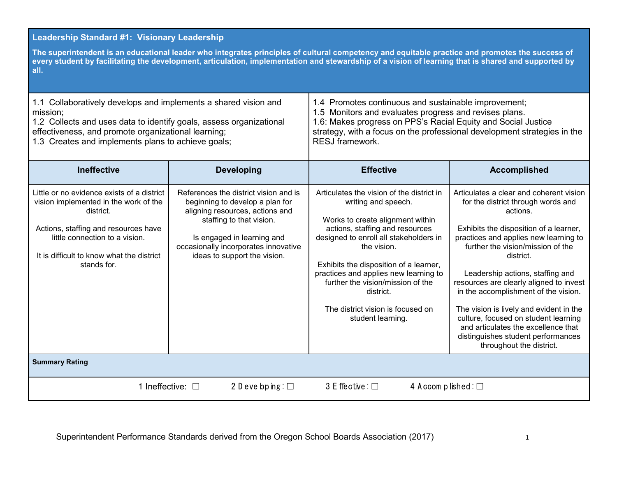#### **Leadership Standard #1: Visionary Leadership The superintendent is an educational leader who integrates principles of cultural competency and equitable practice and promotes the success of every student by facilitating the development, articulation, implementation and stewardship of a vision of learning that is shared and supported by all.**  1.1 Collaboratively develops and implements a shared vision and mission; 1.2 Collects and uses data to identify goals, assess organizational effectiveness, and promote organizational learning; 1.3 Creates and implements plans to achieve goals; 1.4 Promotes continuous and sustainable improvement; 1.5 Monitors and evaluates progress and revises plans. 1.6: Makes progress on PPS's Racial Equity and Social Justice strategy, with a focus on the professional development strategies in the RESJ framework. **Ineffective Developing By Effective Accomplished** Little or no evidence exists of a district vision implemented in the work of the district. Actions, staffing and resources have little connection to a vision. It is difficult to know what the district stands for. References the district vision and is beginning to develop a plan for aligning resources, actions and staffing to that vision. Is engaged in learning and occasionally incorporates innovative ideas to support the vision. Articulates the vision of the district in writing and speech. Works to create alignment within actions, staffing and resources designed to enroll all stakeholders in the vision. Exhibits the disposition of a learner, practices and applies new learning to further the vision/mission of the district. The district vision is focused on student learning. Articulates a clear and coherent vision for the district through words and actions. Exhibits the disposition of a learner, practices and applies new learning to further the vision/mission of the district. Leadership actions, staffing and resources are clearly aligned to invest in the accomplishment of the vision. The vision is lively and evident in the culture, focused on student learning and articulates the excellence that distinguishes student performances throughout the district. **Summary Rating** 1 Ineffective: □ 2 D eve bp ing: □ 3 E ffective: □ 4 A ccom p lished: □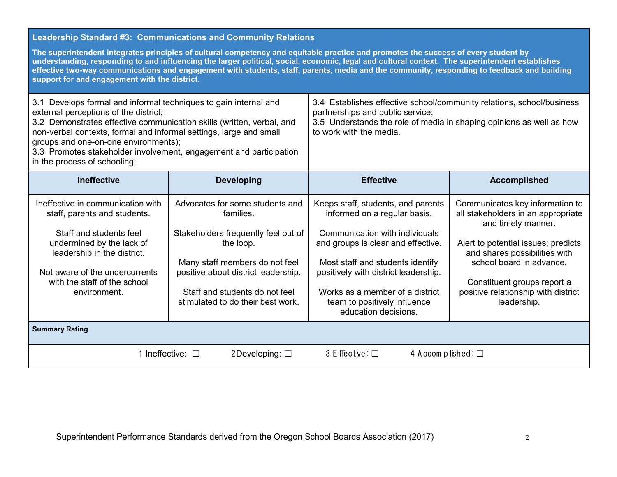### **Leadership Standard #3: Communications and Community Relations**

| The superintendent integrates principles of cultural competency and equitable practice and promotes the success of every student by<br>understanding, responding to and influencing the larger political, social, economic, legal and cultural context. The superintendent establishes<br>effective two-way communications and engagement with students, staff, parents, media and the community, responding to feedback and building<br>support for and engagement with the district. |                                                                                                                                                                                                                                                  |                                                                                                                                                                                                                                                                                                                   |                                                                                                                                                                                                                                                                                      |  |  |  |
|----------------------------------------------------------------------------------------------------------------------------------------------------------------------------------------------------------------------------------------------------------------------------------------------------------------------------------------------------------------------------------------------------------------------------------------------------------------------------------------|--------------------------------------------------------------------------------------------------------------------------------------------------------------------------------------------------------------------------------------------------|-------------------------------------------------------------------------------------------------------------------------------------------------------------------------------------------------------------------------------------------------------------------------------------------------------------------|--------------------------------------------------------------------------------------------------------------------------------------------------------------------------------------------------------------------------------------------------------------------------------------|--|--|--|
| 3.1 Develops formal and informal techniques to gain internal and<br>external perceptions of the district;<br>3.2 Demonstrates effective communication skills (written, verbal, and<br>non-verbal contexts, formal and informal settings, large and small<br>groups and one-on-one environments);<br>3.3 Promotes stakeholder involvement, engagement and participation<br>in the process of schooling;                                                                                 |                                                                                                                                                                                                                                                  | 3.4 Establishes effective school/community relations, school/business<br>partnerships and public service;<br>3.5 Understands the role of media in shaping opinions as well as how<br>to work with the media.                                                                                                      |                                                                                                                                                                                                                                                                                      |  |  |  |
| <b>Ineffective</b>                                                                                                                                                                                                                                                                                                                                                                                                                                                                     | <b>Developing</b>                                                                                                                                                                                                                                | <b>Effective</b>                                                                                                                                                                                                                                                                                                  | <b>Accomplished</b>                                                                                                                                                                                                                                                                  |  |  |  |
| Ineffective in communication with<br>staff, parents and students.<br>Staff and students feel<br>undermined by the lack of<br>leadership in the district.<br>Not aware of the undercurrents<br>with the staff of the school<br>environment.                                                                                                                                                                                                                                             | Advocates for some students and<br>families.<br>Stakeholders frequently feel out of<br>the loop.<br>Many staff members do not feel<br>positive about district leadership.<br>Staff and students do not feel<br>stimulated to do their best work. | Keeps staff, students, and parents<br>informed on a regular basis.<br>Communication with individuals<br>and groups is clear and effective.<br>Most staff and students identify<br>positively with district leadership.<br>Works as a member of a district<br>team to positively influence<br>education decisions. | Communicates key information to<br>all stakeholders in an appropriate<br>and timely manner.<br>Alert to potential issues; predicts<br>and shares possibilities with<br>school board in advance.<br>Constituent groups report a<br>positive relationship with district<br>leadership. |  |  |  |
| <b>Summary Rating</b>                                                                                                                                                                                                                                                                                                                                                                                                                                                                  |                                                                                                                                                                                                                                                  |                                                                                                                                                                                                                                                                                                                   |                                                                                                                                                                                                                                                                                      |  |  |  |
| 1 Ineffective: $\square$<br>$3$ E ffective : $\Box$<br>4 Accomplished: $\square$<br>2Developing: $\square$                                                                                                                                                                                                                                                                                                                                                                             |                                                                                                                                                                                                                                                  |                                                                                                                                                                                                                                                                                                                   |                                                                                                                                                                                                                                                                                      |  |  |  |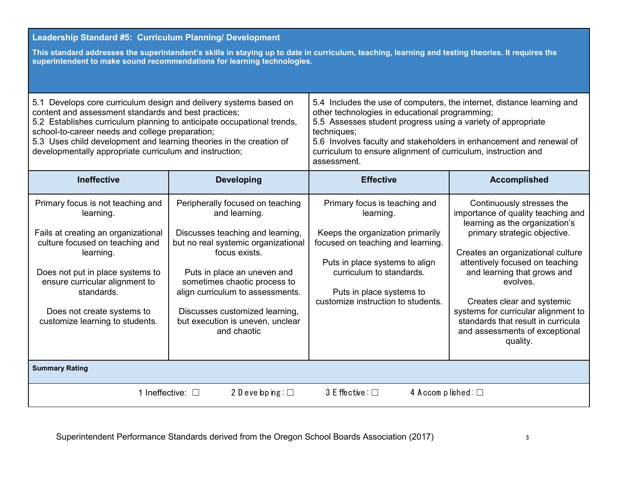# **Leadership Standard #5: Curriculum Planning/ Development**

**This standard addresses the superintendent's skills in staying up to date in curriculum, teaching, learning and testing theories. It requires the superintendent to make sound recommendations for learning technologies.** 

| 5.1 Develops core curriculum design and delivery systems based on<br>content and assessment standards and best practices;<br>5.2 Establishes curriculum planning to anticipate occupational trends,<br>school-to-career needs and college preparation;<br>5.3 Uses child development and learning theories in the creation of<br>developmentally appropriate curriculum and instruction; |                                                                                                                                                                                                                                                                                                                                       | 5.4 Includes the use of computers, the internet, distance learning and<br>other technologies in educational programming;<br>5.5 Assesses student progress using a variety of appropriate<br>techniques;<br>5.6 Involves faculty and stakeholders in enhancement and renewal of<br>curriculum to ensure alignment of curriculum, instruction and<br>assessment. |                                                                                                                                                                                                                                                                                                                                                                                                               |  |  |
|------------------------------------------------------------------------------------------------------------------------------------------------------------------------------------------------------------------------------------------------------------------------------------------------------------------------------------------------------------------------------------------|---------------------------------------------------------------------------------------------------------------------------------------------------------------------------------------------------------------------------------------------------------------------------------------------------------------------------------------|----------------------------------------------------------------------------------------------------------------------------------------------------------------------------------------------------------------------------------------------------------------------------------------------------------------------------------------------------------------|---------------------------------------------------------------------------------------------------------------------------------------------------------------------------------------------------------------------------------------------------------------------------------------------------------------------------------------------------------------------------------------------------------------|--|--|
| <b>Ineffective</b>                                                                                                                                                                                                                                                                                                                                                                       | <b>Developing</b>                                                                                                                                                                                                                                                                                                                     | <b>Effective</b>                                                                                                                                                                                                                                                                                                                                               | <b>Accomplished</b>                                                                                                                                                                                                                                                                                                                                                                                           |  |  |
| Primary focus is not teaching and<br>learning.<br>Fails at creating an organizational<br>culture focused on teaching and<br>learning.<br>Does not put in place systems to<br>ensure curricular alignment to<br>standards.<br>Does not create systems to<br>customize learning to students.                                                                                               | Peripherally focused on teaching<br>and learning.<br>Discusses teaching and learning,<br>but no real systemic organizational<br>focus exists.<br>Puts in place an uneven and<br>sometimes chaotic process to<br>align curriculum to assessments.<br>Discusses customized learning,<br>but execution is uneven, unclear<br>and chaotic | Primary focus is teaching and<br>learning.<br>Keeps the organization primarily<br>focused on teaching and learning.<br>Puts in place systems to align<br>curriculum to standards.<br>Puts in place systems to<br>customize instruction to students.                                                                                                            | Continuously stresses the<br>importance of quality teaching and<br>learning as the organization's<br>primary strategic objective.<br>Creates an organizational culture<br>attentively focused on teaching<br>and learning that grows and<br>evolves.<br>Creates clear and systemic<br>systems for curricular alignment to<br>standards that result in curricula<br>and assessments of exceptional<br>quality. |  |  |
| <b>Summary Rating</b>                                                                                                                                                                                                                                                                                                                                                                    |                                                                                                                                                                                                                                                                                                                                       |                                                                                                                                                                                                                                                                                                                                                                |                                                                                                                                                                                                                                                                                                                                                                                                               |  |  |
| 2 D eve bp $ng: \Box$<br>$3$ E ffective : $\Box$<br>1 Ineffective: $\square$<br>4 Accomplished: $\square$                                                                                                                                                                                                                                                                                |                                                                                                                                                                                                                                                                                                                                       |                                                                                                                                                                                                                                                                                                                                                                |                                                                                                                                                                                                                                                                                                                                                                                                               |  |  |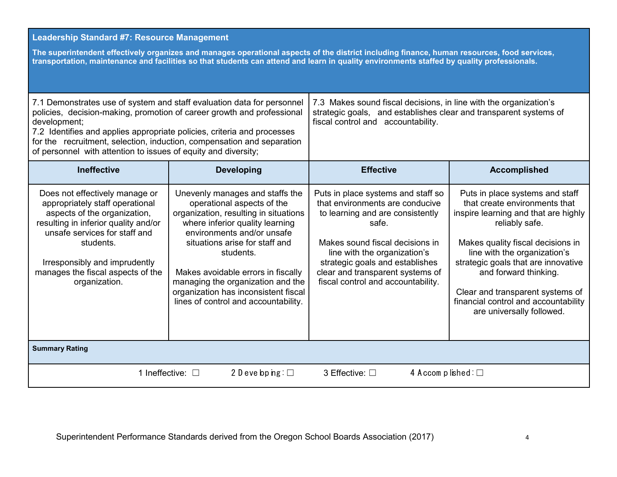#### **Leadership Standard #7: Resource Management**

**The superintendent effectively organizes and manages operational aspects of the district including finance, human resources, food services, transportation, maintenance and facilities so that students can attend and learn in quality environments staffed by quality professionals.** 

| 7.1 Demonstrates use of system and staff evaluation data for personnel<br>policies, decision-making, promotion of career growth and professional<br>development;<br>7.2 Identifies and applies appropriate policies, criteria and processes<br>for the recruitment, selection, induction, compensation and separation<br>of personnel with attention to issues of equity and diversity; |                                                                                                                                                                                                                                                                                                                                                                                   | 7.3 Makes sound fiscal decisions, in line with the organization's<br>strategic goals, and establishes clear and transparent systems of<br>fiscal control and accountability.                                                                                                                       |                                                                                                                                                                                                                                                                                                                                                                          |  |
|-----------------------------------------------------------------------------------------------------------------------------------------------------------------------------------------------------------------------------------------------------------------------------------------------------------------------------------------------------------------------------------------|-----------------------------------------------------------------------------------------------------------------------------------------------------------------------------------------------------------------------------------------------------------------------------------------------------------------------------------------------------------------------------------|----------------------------------------------------------------------------------------------------------------------------------------------------------------------------------------------------------------------------------------------------------------------------------------------------|--------------------------------------------------------------------------------------------------------------------------------------------------------------------------------------------------------------------------------------------------------------------------------------------------------------------------------------------------------------------------|--|
| <b>Ineffective</b>                                                                                                                                                                                                                                                                                                                                                                      | <b>Developing</b>                                                                                                                                                                                                                                                                                                                                                                 | <b>Effective</b>                                                                                                                                                                                                                                                                                   | <b>Accomplished</b>                                                                                                                                                                                                                                                                                                                                                      |  |
| Does not effectively manage or<br>appropriately staff operational<br>aspects of the organization,<br>resulting in inferior quality and/or<br>unsafe services for staff and<br>students.<br>Irresponsibly and imprudently<br>manages the fiscal aspects of the<br>organization.                                                                                                          | Unevenly manages and staffs the<br>operational aspects of the<br>organization, resulting in situations<br>where inferior quality learning<br>environments and/or unsafe<br>situations arise for staff and<br>students.<br>Makes avoidable errors in fiscally<br>managing the organization and the<br>organization has inconsistent fiscal<br>lines of control and accountability. | Puts in place systems and staff so<br>that environments are conducive<br>to learning and are consistently<br>safe.<br>Makes sound fiscal decisions in<br>line with the organization's<br>strategic goals and establishes<br>clear and transparent systems of<br>fiscal control and accountability. | Puts in place systems and staff<br>that create environments that<br>inspire learning and that are highly<br>reliably safe.<br>Makes quality fiscal decisions in<br>line with the organization's<br>strategic goals that are innovative<br>and forward thinking.<br>Clear and transparent systems of<br>financial control and accountability<br>are universally followed. |  |
| <b>Summary Rating</b>                                                                                                                                                                                                                                                                                                                                                                   |                                                                                                                                                                                                                                                                                                                                                                                   |                                                                                                                                                                                                                                                                                                    |                                                                                                                                                                                                                                                                                                                                                                          |  |
| 2 D eve bp $ng: \Box$<br>4 Accomplished: $\square$<br>1 Ineffective: $\square$<br>3 Effective: □                                                                                                                                                                                                                                                                                        |                                                                                                                                                                                                                                                                                                                                                                                   |                                                                                                                                                                                                                                                                                                    |                                                                                                                                                                                                                                                                                                                                                                          |  |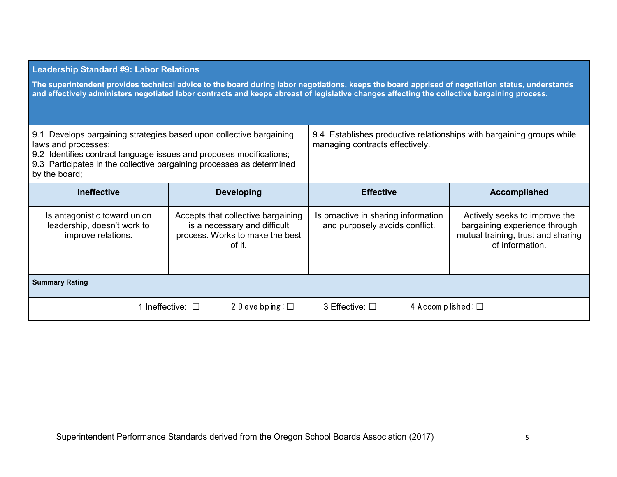#### **Leadership Standard #9: Labor Relations**

**The superintendent provides technical advice to the board during labor negotiations, keeps the board apprised of negotiation status, understands and effectively administers negotiated labor contracts and keeps abreast of legislative changes affecting the collective bargaining process.** 

| 9.1 Develops bargaining strategies based upon collective bargaining<br>laws and processes;<br>9.2 Identifies contract language issues and proposes modifications;<br>9.3 Participates in the collective bargaining processes as determined<br>by the board; |                                                                                                                 | 9.4 Establishes productive relationships with bargaining groups while<br>managing contracts effectively. |                                                                                                                         |  |  |
|-------------------------------------------------------------------------------------------------------------------------------------------------------------------------------------------------------------------------------------------------------------|-----------------------------------------------------------------------------------------------------------------|----------------------------------------------------------------------------------------------------------|-------------------------------------------------------------------------------------------------------------------------|--|--|
| <b>Ineffective</b>                                                                                                                                                                                                                                          | <b>Developing</b>                                                                                               | <b>Effective</b>                                                                                         | <b>Accomplished</b>                                                                                                     |  |  |
| Is antagonistic toward union<br>leadership, doesn't work to<br>improve relations.                                                                                                                                                                           | Accepts that collective bargaining<br>is a necessary and difficult<br>process. Works to make the best<br>of it. | Is proactive in sharing information<br>and purposely avoids conflict.                                    | Actively seeks to improve the<br>bargaining experience through<br>mutual training, trust and sharing<br>of information. |  |  |
| <b>Summary Rating</b>                                                                                                                                                                                                                                       |                                                                                                                 |                                                                                                          |                                                                                                                         |  |  |
|                                                                                                                                                                                                                                                             | 2 D eve bp $ng: \Box$<br>1 Ineffective: $\Box$                                                                  | 4 Accomplished: $\square$<br>3 Effective: $\square$                                                      |                                                                                                                         |  |  |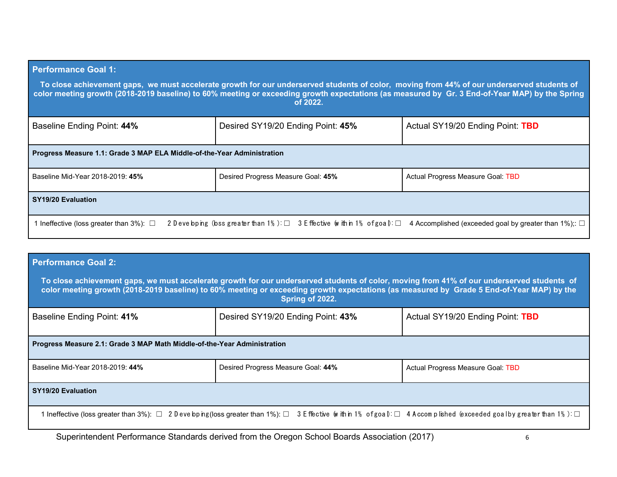# **Performance Goal 1: To close achievement gaps, we must accelerate growth for our underserved students of color, moving from 44% of our underserved students of color meeting growth (2018-2019 baseline) to 60% meeting or exceeding growth expectations (as measured by Gr. 3 End-of-Year MAP) by the Spring of 2022.** Baseline Ending Point: 44% **Desired SY19/20 Ending Point: 45%** Actual SY19/20 Ending Point: TBD **Progress Measure 1.1: Grade 3 MAP ELA Middle-of-the-Year Administration** Baseline Mid-Year 2018-2019: 45% **Desired Progress Measure Goal: 45%** Actual Progress Measure Goal: TBD **SY19/20 Evaluation**

1 Ineffective (loss greater than 3%): □ 2 D eve bping (bss greater than 1%): □ 3 E ffective (within 1% of goal): □ 4 Accomplished (exceeded goal by greater than 1%);: □

| <b>Performance Goal 2:</b>                                                                                                                                                                                                                                                                                 |                                    |                                   |  |  |  |
|------------------------------------------------------------------------------------------------------------------------------------------------------------------------------------------------------------------------------------------------------------------------------------------------------------|------------------------------------|-----------------------------------|--|--|--|
| To close achievement gaps, we must accelerate growth for our underserved students of color, moving from 41% of our underserved students of<br>color meeting growth (2018-2019 baseline) to 60% meeting or exceeding growth expectations (as measured by Grade 5 End-of-Year MAP) by the<br>Spring of 2022. |                                    |                                   |  |  |  |
| Baseline Ending Point: 41%                                                                                                                                                                                                                                                                                 | Desired SY19/20 Ending Point: 43%  | Actual SY19/20 Ending Point: TBD  |  |  |  |
| Progress Measure 2.1: Grade 3 MAP Math Middle-of-the-Year Administration                                                                                                                                                                                                                                   |                                    |                                   |  |  |  |
| Baseline Mid-Year 2018-2019: 44%                                                                                                                                                                                                                                                                           | Desired Progress Measure Goal: 44% | Actual Progress Measure Goal: TBD |  |  |  |
| SY19/20 Evaluation                                                                                                                                                                                                                                                                                         |                                    |                                   |  |  |  |
| 1 Ineffective (loss greater than 3%): □ 2 D eve bp ng(loss greater than 1%): □ 3 E ffective (with in 1% of goal: □ 4 Accomplished (exceeded goalby greater than 1%): □                                                                                                                                     |                                    |                                   |  |  |  |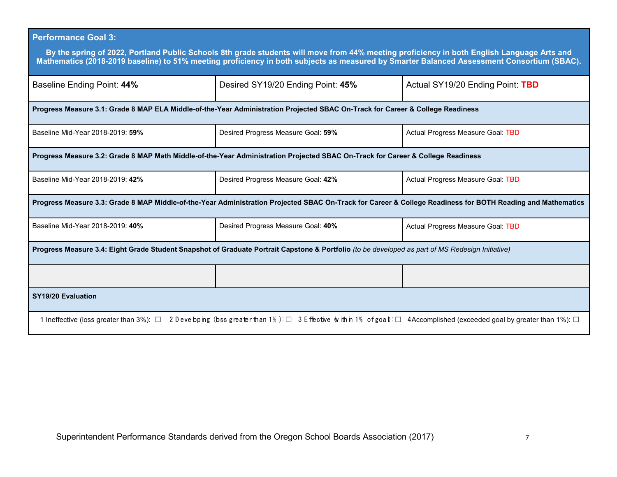# **Performance Goal 3:**

| By the spring of 2022, Portland Public Schools 8th grade students will move from 44% meeting proficiency in both English Language Arts and<br>Mathematics (2018-2019 baseline) to 51% meeting proficiency in both subjects as measured by Smarter Balanced Assessment Consortium (SBAC). |                                                                                                                                 |                                   |  |  |  |
|------------------------------------------------------------------------------------------------------------------------------------------------------------------------------------------------------------------------------------------------------------------------------------------|---------------------------------------------------------------------------------------------------------------------------------|-----------------------------------|--|--|--|
| Baseline Ending Point: 44%                                                                                                                                                                                                                                                               | Desired SY19/20 Ending Point: 45%                                                                                               | Actual SY19/20 Ending Point: TBD  |  |  |  |
|                                                                                                                                                                                                                                                                                          | Progress Measure 3.1: Grade 8 MAP ELA Middle-of-the-Year Administration Projected SBAC On-Track for Career & College Readiness  |                                   |  |  |  |
| Baseline Mid-Year 2018-2019: 59%                                                                                                                                                                                                                                                         | Desired Progress Measure Goal: 59%                                                                                              | Actual Progress Measure Goal: TBD |  |  |  |
|                                                                                                                                                                                                                                                                                          | Progress Measure 3.2: Grade 8 MAP Math Middle-of-the-Year Administration Projected SBAC On-Track for Career & College Readiness |                                   |  |  |  |
| Baseline Mid-Year 2018-2019: 42%                                                                                                                                                                                                                                                         | Desired Progress Measure Goal: 42%                                                                                              | Actual Progress Measure Goal: TBD |  |  |  |
| Progress Measure 3.3: Grade 8 MAP Middle-of-the-Year Administration Projected SBAC On-Track for Career & College Readiness for BOTH Reading and Mathematics                                                                                                                              |                                                                                                                                 |                                   |  |  |  |
| Baseline Mid-Year 2018-2019: 40%                                                                                                                                                                                                                                                         | Desired Progress Measure Goal: 40%                                                                                              | Actual Progress Measure Goal: TBD |  |  |  |
| Progress Measure 3.4: Eight Grade Student Snapshot of Graduate Portrait Capstone & Portfolio (to be developed as part of MS Redesign Initiative)                                                                                                                                         |                                                                                                                                 |                                   |  |  |  |
|                                                                                                                                                                                                                                                                                          |                                                                                                                                 |                                   |  |  |  |
| SY19/20 Evaluation                                                                                                                                                                                                                                                                       |                                                                                                                                 |                                   |  |  |  |
| 2 D eve bp ng (bss greater than 1%): $\Box$ 3 E ffective (w ith n 1% of goal): $\Box$ 4 Accomplished (exceeded goal by greater than 1%): $\Box$<br>1 Ineffective (loss greater than $3\%$ ): $\Box$                                                                                      |                                                                                                                                 |                                   |  |  |  |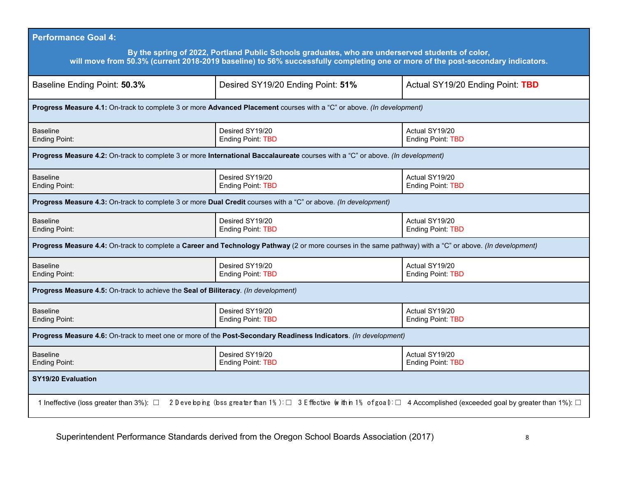| <b>Performance Goal 4:</b>                                                                                                                                                                                                         |                                                                                                                                                          |                                                                                                                                |  |  |  |
|------------------------------------------------------------------------------------------------------------------------------------------------------------------------------------------------------------------------------------|----------------------------------------------------------------------------------------------------------------------------------------------------------|--------------------------------------------------------------------------------------------------------------------------------|--|--|--|
| By the spring of 2022, Portland Public Schools graduates, who are underserved students of color,<br>will move from 50.3% (current 2018-2019 baseline) to 56% successfully completing one or more of the post-secondary indicators. |                                                                                                                                                          |                                                                                                                                |  |  |  |
| Baseline Ending Point: 50.3%                                                                                                                                                                                                       | Desired SY19/20 Ending Point: 51%                                                                                                                        | Actual SY19/20 Ending Point: TBD                                                                                               |  |  |  |
|                                                                                                                                                                                                                                    | Progress Measure 4.1: On-track to complete 3 or more Advanced Placement courses with a "C" or above. (In development)                                    |                                                                                                                                |  |  |  |
| <b>Baseline</b><br><b>Ending Point:</b>                                                                                                                                                                                            | Desired SY19/20<br><b>Ending Point: TBD</b>                                                                                                              | Actual SY19/20<br><b>Ending Point: TBD</b>                                                                                     |  |  |  |
|                                                                                                                                                                                                                                    | Progress Measure 4.2: On-track to complete 3 or more International Baccalaureate courses with a "C" or above. (In development)                           |                                                                                                                                |  |  |  |
| <b>Baseline</b><br><b>Ending Point:</b>                                                                                                                                                                                            | Desired SY19/20<br><b>Ending Point: TBD</b>                                                                                                              | Actual SY19/20<br><b>Ending Point: TBD</b>                                                                                     |  |  |  |
| Progress Measure 4.3: On-track to complete 3 or more Dual Credit courses with a "C" or above. (In development)                                                                                                                     |                                                                                                                                                          |                                                                                                                                |  |  |  |
| <b>Baseline</b><br><b>Ending Point:</b>                                                                                                                                                                                            | Desired SY19/20<br>Ending Point: TBD                                                                                                                     | Actual SY19/20<br>Ending Point: TBD                                                                                            |  |  |  |
|                                                                                                                                                                                                                                    | Progress Measure 4.4: On-track to complete a Career and Technology Pathway (2 or more courses in the same pathway) with a "C" or above. (In development) |                                                                                                                                |  |  |  |
| <b>Baseline</b><br><b>Ending Point:</b>                                                                                                                                                                                            | Desired SY19/20<br>Ending Point: TBD                                                                                                                     | Actual SY19/20<br>Ending Point: TBD                                                                                            |  |  |  |
| Progress Measure 4.5: On-track to achieve the Seal of Biliteracy. (In development)                                                                                                                                                 |                                                                                                                                                          |                                                                                                                                |  |  |  |
| <b>Baseline</b><br><b>Ending Point:</b>                                                                                                                                                                                            | Desired SY19/20<br><b>Ending Point: TBD</b>                                                                                                              | Actual SY19/20<br><b>Ending Point: TBD</b>                                                                                     |  |  |  |
| Progress Measure 4.6: On-track to meet one or more of the Post-Secondary Readiness Indicators. (In development)                                                                                                                    |                                                                                                                                                          |                                                                                                                                |  |  |  |
| <b>Baseline</b><br><b>Ending Point:</b>                                                                                                                                                                                            | Desired SY19/20<br><b>Ending Point: TBD</b>                                                                                                              | Actual SY19/20<br><b>Ending Point: TBD</b>                                                                                     |  |  |  |
| <b>SY19/20 Evaluation</b>                                                                                                                                                                                                          |                                                                                                                                                          |                                                                                                                                |  |  |  |
| 1 Ineffective (loss greater than 3%): □                                                                                                                                                                                            |                                                                                                                                                          | 2 Deve bping (bss greater than 1%): □ 3 E ffective (within 1% of goal): □ 4 Accomplished (exceeded goal by greater than 1%): □ |  |  |  |